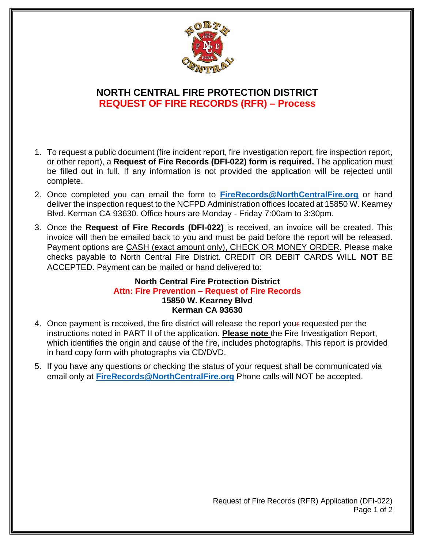

## **NORTH CENTRAL FIRE PROTECTION DISTRICT REQUEST OF FIRE RECORDS (RFR) – Process**

- 1. To request a public document (fire incident report, fire investigation report, fire inspection report, or other report), a **Request of Fire Records (DFI-022) form is required.** The application must be filled out in full. If any information is not provided the application will be rejected until complete.
- 2. Once completed you can email the form to **FireRecords@NorthCentralFire.org** or hand deliver the inspection request to the NCFPD Administration offices located at 15850 W. Kearney Blvd. Kerman CA 93630. Office hours are Monday - Friday 7:00am to 3:30pm.
- 3. Once the **Request of Fire Records (DFI-022)** is received, an invoice will be created. This invoice will then be emailed back to you and must be paid before the report will be released. Payment options are CASH (exact amount only), CHECK OR MONEY ORDER. Please make checks payable to North Central Fire District. CREDIT OR DEBIT CARDS WILL **NOT** BE ACCEPTED. Payment can be mailed or hand delivered to:

## **North Central Fire Protection District Attn: Fire Prevention – Request of Fire Records 15850 W. Kearney Blvd Kerman CA 93630**

- 4. Once payment is received, the fire district will release the report your requested per the instructions noted in PART II of the application. **Please note** the Fire Investigation Report, which identifies the origin and cause of the fire, includes photographs. This report is provided in hard copy form with photographs via CD/DVD.
- 5. If you have any questions or checking the status of your request shall be communicated via email only at **FireRecords@NorthCentralFire.org** Phone calls will NOT be accepted.